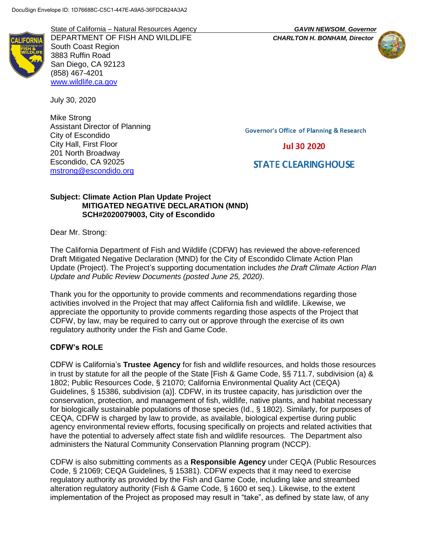State of California – Natural Resources Agency *GAVIN NEWSOM*, *Governor* DEPARTMENT OF FISH AND WILDLIFE *CHARLTON H. BONHAM, Director* South Coast Region 3883 Ruffin Road San Diego, CA 92123 (858) 467-4201 [www.wildlife.ca.gov](http://www.wildlife.ca.gov/)

July 30, 2020

Mike Strong Assistant Director of Planning City of Escondido City Hall, First Floor 201 North Broadway Escondido, CA 92025 [mstrong@escondido.org](mailto:mstrong@escondido.org)

**Governor's Office of Planning & Research** 

# **Jul 30 2020**

# **STATE CLEARING HOUSE**

### **Subject: Climate Action Plan Update Project MITIGATED NEGATIVE DECLARATION (MND) SCH#2020079003, City of Escondido**

Dear Mr. Strong:

The California Department of Fish and Wildlife (CDFW) has reviewed the above-referenced Draft Mitigated Negative Declaration (MND) for the City of Escondido Climate Action Plan Update (Project). The Project's supporting documentation includes *the Draft Climate Action Plan Update and Public Review Documents (posted June 25, 2020)*.

Thank you for the opportunity to provide comments and recommendations regarding those activities involved in the Project that may affect California fish and wildlife. Likewise, we appreciate the opportunity to provide comments regarding those aspects of the Project that CDFW, by law, may be required to carry out or approve through the exercise of its own regulatory authority under the Fish and Game Code.

# **CDFW's ROLE**

CDFW is California's **Trustee Agency** for fish and wildlife resources, and holds those resources in trust by statute for all the people of the State [Fish & Game Code, §§ 711.7, subdivision (a) & 1802; Public Resources Code, § 21070; California Environmental Quality Act (CEQA) Guidelines, § 15386, subdivision (a)]. CDFW, in its trustee capacity, has jurisdiction over the conservation, protection, and management of fish, wildlife, native plants, and habitat necessary for biologically sustainable populations of those species (Id., § 1802). Similarly, for purposes of CEQA, CDFW is charged by law to provide, as available, biological expertise during public agency environmental review efforts, focusing specifically on projects and related activities that have the potential to adversely affect state fish and wildlife resources. The Department also administers the Natural Community Conservation Planning program (NCCP).

CDFW is also submitting comments as a **Responsible Agency** under CEQA (Public Resources Code, § 21069; CEQA Guidelines, § 15381). CDFW expects that it may need to exercise regulatory authority as provided by the Fish and Game Code, including lake and streambed alteration regulatory authority (Fish & Game Code, § 1600 et seq.). Likewise, to the extent implementation of the Project as proposed may result in "take", as defined by state law, of any

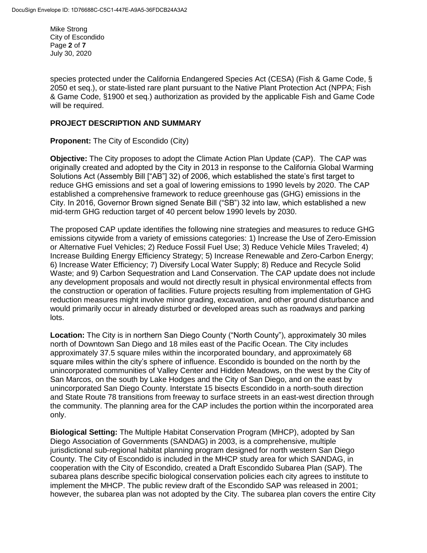Mike Strong City of Escondido Page **2** of **7** July 30, 2020

species protected under the California Endangered Species Act (CESA) (Fish & Game Code, § 2050 et seq.), or state-listed rare plant pursuant to the Native Plant Protection Act (NPPA; Fish & Game Code, §1900 et seq.) authorization as provided by the applicable Fish and Game Code will be required.

#### **PROJECT DESCRIPTION AND SUMMARY**

**Proponent:** The City of Escondido (City)

**Objective:** The City proposes to adopt the Climate Action Plan Update (CAP). The CAP was originally created and adopted by the City in 2013 in response to the California Global Warming Solutions Act (Assembly Bill ["AB"] 32) of 2006, which established the state's first target to reduce GHG emissions and set a goal of lowering emissions to 1990 levels by 2020. The CAP established a comprehensive framework to reduce greenhouse gas (GHG) emissions in the City. In 2016, Governor Brown signed Senate Bill ("SB") 32 into law, which established a new mid-term GHG reduction target of 40 percent below 1990 levels by 2030.

The proposed CAP update identifies the following nine strategies and measures to reduce GHG emissions citywide from a variety of emissions categories: 1) Increase the Use of Zero-Emission or Alternative Fuel Vehicles; 2) Reduce Fossil Fuel Use; 3) Reduce Vehicle Miles Traveled; 4) Increase Building Energy Efficiency Strategy; 5) Increase Renewable and Zero-Carbon Energy; 6) Increase Water Efficiency; 7) Diversify Local Water Supply; 8) Reduce and Recycle Solid Waste; and 9) Carbon Sequestration and Land Conservation. The CAP update does not include any development proposals and would not directly result in physical environmental effects from the construction or operation of facilities. Future projects resulting from implementation of GHG reduction measures might involve minor grading, excavation, and other ground disturbance and would primarily occur in already disturbed or developed areas such as roadways and parking lots.

**Location:** The City is in northern San Diego County ("North County"), approximately 30 miles north of Downtown San Diego and 18 miles east of the Pacific Ocean. The City includes approximately 37.5 square miles within the incorporated boundary, and approximately 68 square miles within the city's sphere of influence. Escondido is bounded on the north by the unincorporated communities of Valley Center and Hidden Meadows, on the west by the City of San Marcos, on the south by Lake Hodges and the City of San Diego, and on the east by unincorporated San Diego County. Interstate 15 bisects Escondido in a north-south direction and State Route 78 transitions from freeway to surface streets in an east-west direction through the community. The planning area for the CAP includes the portion within the incorporated area only.

**Biological Setting:** The Multiple Habitat Conservation Program (MHCP), adopted by San Diego Association of Governments (SANDAG) in 2003, is a comprehensive, multiple jurisdictional sub-regional habitat planning program designed for north western San Diego County. The City of Escondido is included in the MHCP study area for which SANDAG, in cooperation with the City of Escondido, created a Draft Escondido Subarea Plan (SAP). The subarea plans describe specific biological conservation policies each city agrees to institute to implement the MHCP. The public review draft of the Escondido SAP was released in 2001; however, the subarea plan was not adopted by the City. The subarea plan covers the entire City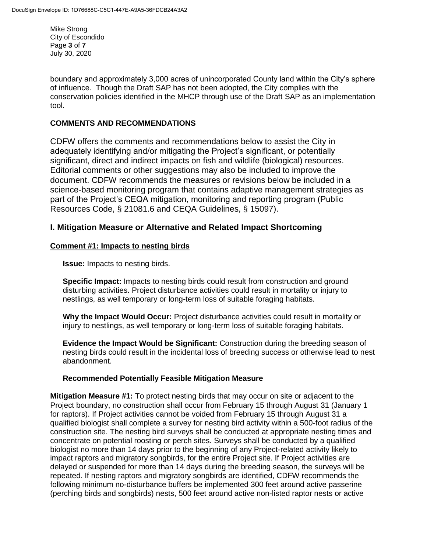Mike Strong City of Escondido Page **3** of **7** July 30, 2020

boundary and approximately 3,000 acres of unincorporated County land within the City's sphere of influence. Though the Draft SAP has not been adopted, the City complies with the conservation policies identified in the MHCP through use of the Draft SAP as an implementation tool.

### **COMMENTS AND RECOMMENDATIONS**

CDFW offers the comments and recommendations below to assist the City in adequately identifying and/or mitigating the Project's significant, or potentially significant, direct and indirect impacts on fish and wildlife (biological) resources. Editorial comments or other suggestions may also be included to improve the document. CDFW recommends the measures or revisions below be included in a science-based monitoring program that contains adaptive management strategies as part of the Project's CEQA mitigation, monitoring and reporting program (Public Resources Code, § 21081.6 and CEQA Guidelines, § 15097).

# **I. Mitigation Measure or Alternative and Related Impact Shortcoming**

#### **Comment #1: Impacts to nesting birds**

**Issue:** Impacts to nesting birds.

**Specific Impact:** Impacts to nesting birds could result from construction and ground disturbing activities. Project disturbance activities could result in mortality or injury to nestlings, as well temporary or long-term loss of suitable foraging habitats.

**Why the Impact Would Occur:** Project disturbance activities could result in mortality or injury to nestlings, as well temporary or long-term loss of suitable foraging habitats.

**Evidence the Impact Would be Significant:** Construction during the breeding season of nesting birds could result in the incidental loss of breeding success or otherwise lead to nest abandonment.

### **Recommended Potentially Feasible Mitigation Measure**

**Mitigation Measure #1:** To protect nesting birds that may occur on site or adjacent to the Project boundary, no construction shall occur from February 15 through August 31 (January 1 for raptors). If Project activities cannot be voided from February 15 through August 31 a qualified biologist shall complete a survey for nesting bird activity within a 500-foot radius of the construction site. The nesting bird surveys shall be conducted at appropriate nesting times and concentrate on potential roosting or perch sites. Surveys shall be conducted by a qualified biologist no more than 14 days prior to the beginning of any Project-related activity likely to impact raptors and migratory songbirds, for the entire Project site. If Project activities are delayed or suspended for more than 14 days during the breeding season, the surveys will be repeated. If nesting raptors and migratory songbirds are identified, CDFW recommends the following minimum no-disturbance buffers be implemented 300 feet around active passerine (perching birds and songbirds) nests, 500 feet around active non-listed raptor nests or active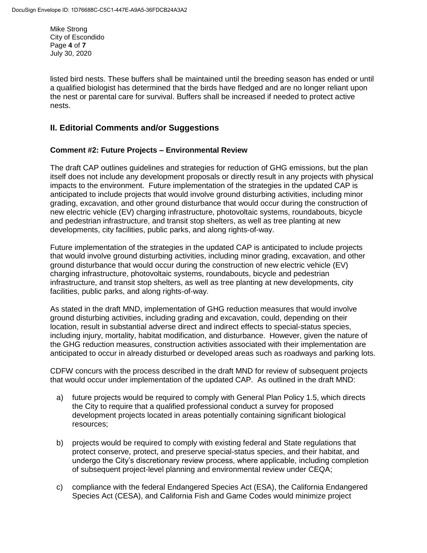Mike Strong City of Escondido Page **4** of **7** July 30, 2020

listed bird nests. These buffers shall be maintained until the breeding season has ended or until a qualified biologist has determined that the birds have fledged and are no longer reliant upon the nest or parental care for survival. Buffers shall be increased if needed to protect active nests.

# **II. Editorial Comments and/or Suggestions**

#### **Comment #2: Future Projects – Environmental Review**

The draft CAP outlines guidelines and strategies for reduction of GHG emissions, but the plan itself does not include any development proposals or directly result in any projects with physical impacts to the environment. Future implementation of the strategies in the updated CAP is anticipated to include projects that would involve ground disturbing activities, including minor grading, excavation, and other ground disturbance that would occur during the construction of new electric vehicle (EV) charging infrastructure, photovoltaic systems, roundabouts, bicycle and pedestrian infrastructure, and transit stop shelters, as well as tree planting at new developments, city facilities, public parks, and along rights-of-way.

Future implementation of the strategies in the updated CAP is anticipated to include projects that would involve ground disturbing activities, including minor grading, excavation, and other ground disturbance that would occur during the construction of new electric vehicle (EV) charging infrastructure, photovoltaic systems, roundabouts, bicycle and pedestrian infrastructure, and transit stop shelters, as well as tree planting at new developments, city facilities, public parks, and along rights-of-way.

As stated in the draft MND, implementation of GHG reduction measures that would involve ground disturbing activities, including grading and excavation, could, depending on their location, result in substantial adverse direct and indirect effects to special-status species, including injury, mortality, habitat modification, and disturbance. However, given the nature of the GHG reduction measures, construction activities associated with their implementation are anticipated to occur in already disturbed or developed areas such as roadways and parking lots.

CDFW concurs with the process described in the draft MND for review of subsequent projects that would occur under implementation of the updated CAP. As outlined in the draft MND:

- a) future projects would be required to comply with General Plan Policy 1.5, which directs the City to require that a qualified professional conduct a survey for proposed development projects located in areas potentially containing significant biological resources;
- b) projects would be required to comply with existing federal and State regulations that protect conserve, protect, and preserve special-status species, and their habitat, and undergo the City's discretionary review process, where applicable, including completion of subsequent project-level planning and environmental review under CEQA;
- c) compliance with the federal Endangered Species Act (ESA), the California Endangered Species Act (CESA), and California Fish and Game Codes would minimize project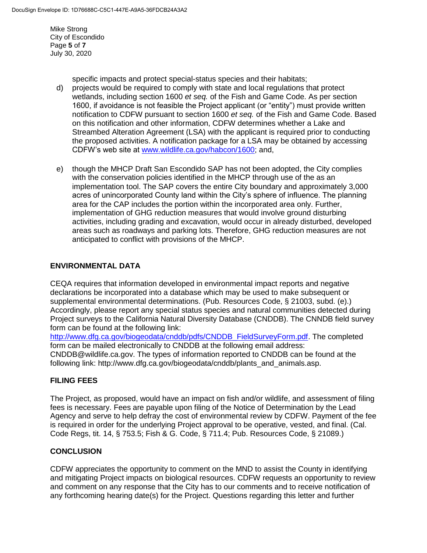Mike Strong City of Escondido Page **5** of **7** July 30, 2020

specific impacts and protect special-status species and their habitats;

- d) projects would be required to comply with state and local regulations that protect wetlands, including section 1600 *et seq.* of the Fish and Game Code. As per section 1600, if avoidance is not feasible the Project applicant (or "entity") must provide written notification to CDFW pursuant to section 1600 *et seq.* of the Fish and Game Code. Based on this notification and other information, CDFW determines whether a Lake and Streambed Alteration Agreement (LSA) with the applicant is required prior to conducting the proposed activities. A notification package for a LSA may be obtained by accessing CDFW's web site at [www.wildlife.ca.gov/habcon/1600;](http://www.wildlife.ca.gov/habcon/1600) and,
- e) though the MHCP Draft San Escondido SAP has not been adopted, the City complies with the conservation policies identified in the MHCP through use of the as an implementation tool. The SAP covers the entire City boundary and approximately 3,000 acres of unincorporated County land within the City's sphere of influence. The planning area for the CAP includes the portion within the incorporated area only. Further, implementation of GHG reduction measures that would involve ground disturbing activities, including grading and excavation, would occur in already disturbed, developed areas such as roadways and parking lots. Therefore, GHG reduction measures are not anticipated to conflict with provisions of the MHCP.

### **ENVIRONMENTAL DATA**

CEQA requires that information developed in environmental impact reports and negative declarations be incorporated into a database which may be used to make subsequent or supplemental environmental determinations. (Pub. Resources Code, § 21003, subd. (e).) Accordingly, please report any special status species and natural communities detected during Project surveys to the California Natural Diversity Database (CNDDB). The CNNDB field survey form can be found at the following link:

[http://www.dfg.ca.gov/biogeodata/cnddb/pdfs/CNDDB\\_FieldSurveyForm.pdf.](http://www.dfg.ca.gov/biogeodata/cnddb/pdfs/CNDDB_FieldSurveyForm.pdf) The completed form can be mailed electronically to CNDDB at the following email address: CNDDB@wildlife.ca.gov. The types of information reported to CNDDB can be found at the following link: http://www.dfg.ca.gov/biogeodata/cnddb/plants\_and\_animals.asp.

### **FILING FEES**

The Project, as proposed, would have an impact on fish and/or wildlife, and assessment of filing fees is necessary. Fees are payable upon filing of the Notice of Determination by the Lead Agency and serve to help defray the cost of environmental review by CDFW. Payment of the fee is required in order for the underlying Project approval to be operative, vested, and final. (Cal. Code Regs, tit. 14, § 753.5; Fish & G. Code, § 711.4; Pub. Resources Code, § 21089.)

### **CONCLUSION**

CDFW appreciates the opportunity to comment on the MND to assist the County in identifying and mitigating Project impacts on biological resources. CDFW requests an opportunity to review and comment on any response that the City has to our comments and to receive notification of any forthcoming hearing date(s) for the Project. Questions regarding this letter and further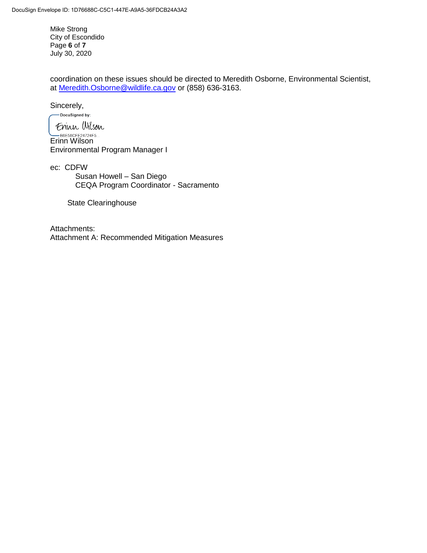Mike Strong City of Escondido Page **6** of **7** July 30, 2020

coordination on these issues should be directed to Meredith Osborne, Environmental Scientist, at [Meredith.Osborne@wildlife.ca.gov](mailto:Meredith.Osborne@wildlife.ca.gov) or (858) 636-3163.

Sincerely,

-DocuSigned by:

Erinn Wilson BOESSCFE24724F5... Environmental Program Manager I

ec: CDFW Susan Howell – San Diego CEQA Program Coordinator - Sacramento

State Clearinghouse

Attachments: Attachment A: Recommended Mitigation Measures